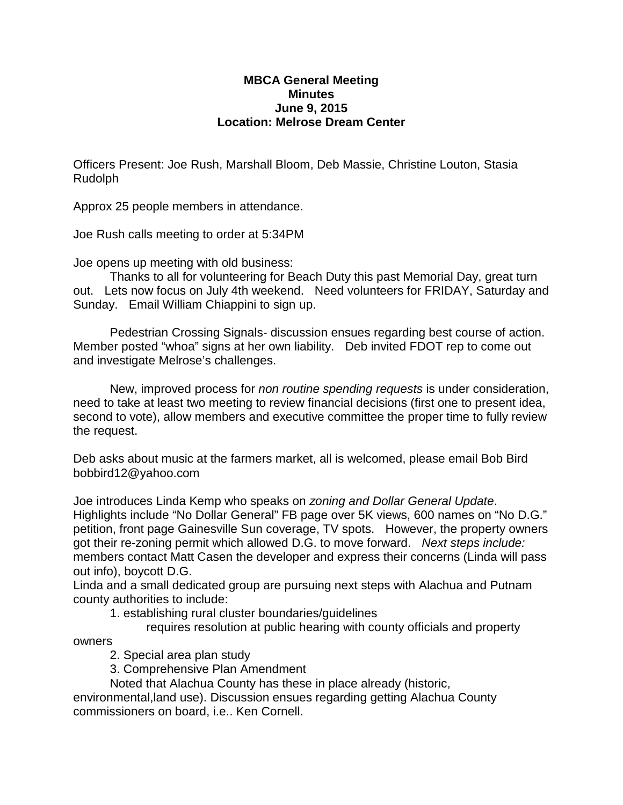## **MBCA General Meeting Minutes June 9, 2015 Location: Melrose Dream Center**

Officers Present: Joe Rush, Marshall Bloom, Deb Massie, Christine Louton, Stasia Rudolph

Approx 25 people members in attendance.

Joe Rush calls meeting to order at 5:34PM

Joe opens up meeting with old business:

Thanks to all for volunteering for Beach Duty this past Memorial Day, great turn out. Lets now focus on July 4th weekend. Need volunteers for FRIDAY, Saturday and Sunday. Email William Chiappini to sign up.

Pedestrian Crossing Signals- discussion ensues regarding best course of action. Member posted "whoa" signs at her own liability. Deb invited FDOT rep to come out and investigate Melrose's challenges.

New, improved process for *non routine spending requests* is under consideration, need to take at least two meeting to review financial decisions (first one to present idea, second to vote), allow members and executive committee the proper time to fully review the request.

Deb asks about music at the farmers market, all is welcomed, please email Bob Bird bobbird12@yahoo.com

Joe introduces Linda Kemp who speaks on *zoning and Dollar General Update*. Highlights include "No Dollar General" FB page over 5K views, 600 names on "No D.G." petition, front page Gainesville Sun coverage, TV spots. However, the property owners got their re-zoning permit which allowed D.G. to move forward. *Next steps include:* members contact Matt Casen the developer and express their concerns (Linda will pass out info), boycott D.G.

Linda and a small dedicated group are pursuing next steps with Alachua and Putnam county authorities to include:

- 1. establishing rural cluster boundaries/guidelines
	- requires resolution at public hearing with county officials and property

owners

- 2. Special area plan study
- 3. Comprehensive Plan Amendment
- Noted that Alachua County has these in place already (historic,

environmental,land use). Discussion ensues regarding getting Alachua County commissioners on board, i.e.. Ken Cornell.